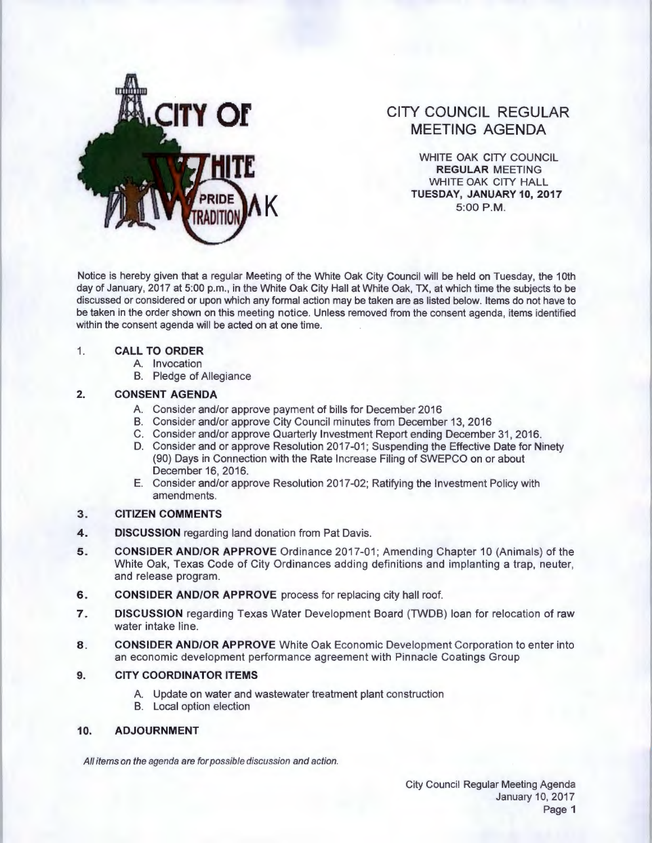

# **CITY COUNCIL REGULAR MEETING AGENDA**

WHITE OAK CITY COUNCIL **REGULAR** MEETING WHITE OAK CITY HALL **K TUESDAY, JANUARY10,2017**  5:00 P.M.

Notice is hereby given that a regular Meeting of the White Oak City Council will be held on Tuesday, the 1Oth day of January, 2017 at 5:00 p.m., in the White Oak City Hall at White Oak, TX, at which time the subjects to be discussed or considered or upon which any formal action may be taken are as listed below. Items do not have to be taken in the order shown on this meeting notice. Unless removed from the consent agenda, items identified within the consent agenda will be acted on at one time.

#### 1. **CALL TO ORDER**

- A. Invocation
- B. Pledge of Allegiance

# **2. CONSENT AGENDA**

- A. Consider and/or approve payment of bills for December 2016
- B. Consider and/or approve City Council minutes from December 13, 2016
- C. Consider and/or approve Quarterly Investment Report ending December 31 , 2016.
- D. Consider and or approve Resolution 2017-01; Suspending the Effective Date for Ninety (90) Days in Connection with the Rate Increase Filing of SWEPCO on or about December 16, 2016.
- E. Consider and/or approve Resolution 2017-02; Ratifying the Investment Policy with amendments.

# **3. CITIZEN COMMENTS**

- **4. DISCUSSION** regarding land donation from Pat Davis.
- **5. CONSIDER AND/OR APPROVE** Ordinance 2017-01 ; Amending Chapter 10 (Animals) of the White Oak, Texas Code of City Ordinances adding definitions and implanting a trap, neuter, and release program.
- **6. CONSIDER AND/OR APPROVE** process for replacing city hall roof.
- **7. DISCUSSION** regarding Texas Water Development Board (TWDB) loan for relocation of raw water intake line.
- **8. CONSIDER AND/OR APPROVE** White Oak Economic Development Corporation to enter into an economic development performance agreement with Pinnacle Coatings Group

# **9. CITY COORDINATOR ITEMS**

- A. Update on water and wastewater treatment plant construction
- B. Local option election

# **10. ADJOURNMENT**

All items on the agenda are for possible discussion and action.